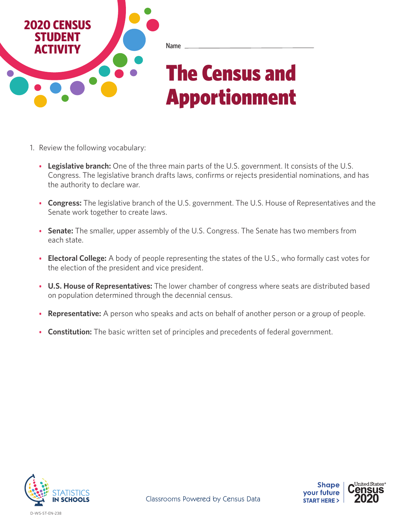

- 1. Review the following vocabulary:
	- **• Legislative branch:** One of the three main parts of the U.S. government. It consists of the U.S. Congress. The legislative branch drafts laws, confirms or rejects presidential nominations, and has the authority to declare war.
	- **• Congress:** The legislative branch of the U.S. government. The U.S. House of Representatives and the Senate work together to create laws.
	- **• Senate:** The smaller, upper assembly of the U.S. Congress. The Senate has two members from each state.
	- **• Electoral College:** A body of people representing the states of the U.S., who formally cast votes for the election of the president and vice president.
	- **• U.S. House of Representatives:** The lower chamber of congress where seats are distributed based on population determined through the decennial census.
	- **• Representative:** A person who speaks and acts on behalf of another person or a group of people.
	- **• Constitution:** The basic written set of principles and precedents of federal government.



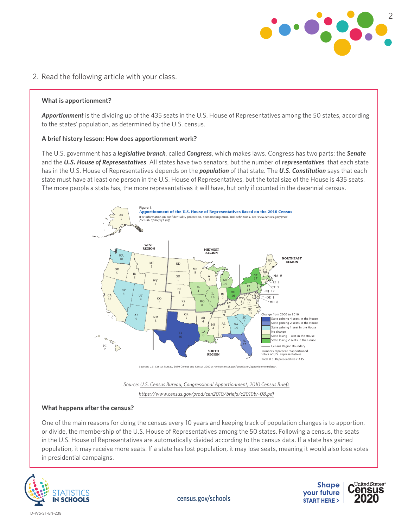

# 2. Read the following article with your class.

## **What is apportionment?**

*Apportionment* is the dividing up of the 435 seats in the U.S. House of Representatives among the 50 states, according to the states' population, as determined by the U.S. census.

#### **A brief history lesson: How does apportionment work?**

The U.S. government has a *legislative branch*, called *Congress*, which makes laws. Congress has two parts: the *Senate* and the *U.S. House of Representatives*. All states have two senators, but the number of *representatives* that each state has in the U.S. House of Representatives depends on the *population* of that state. The *U.S. Constitution* says that each state must have at least one person in the U.S. House of Representatives, but the total size of the House is 435 seats. The more people a state has, the more representatives it will have, but only if counted in the decennial census.



*Source: [U.S. Census Bureau, Congressional Apportionment, 2010 Census Briefs](https://www.census.gov/prod/cen2010/briefs/c2010br-08.pdf) <https://www.census.gov/prod/cen2010/briefs/c2010br-08.pdf>*

#### **What happens after the census?**

One of the main reasons for doing the census every 10 years and keeping track of population changes is to apportion, or divide, the membership of the U.S. House of Representatives among the 50 states. Following a census, the seats in the U.S. House of Representatives are automatically divided according to the census data. If a state has gained population, it may receive more seats. If a state has lost population, it may lose seats, meaning it would also lose votes



United States<sup>®</sup> **Shape** *<u>Census</u>* your future **START HERE >** 

[census.gov/schools](http://census.gov/schools)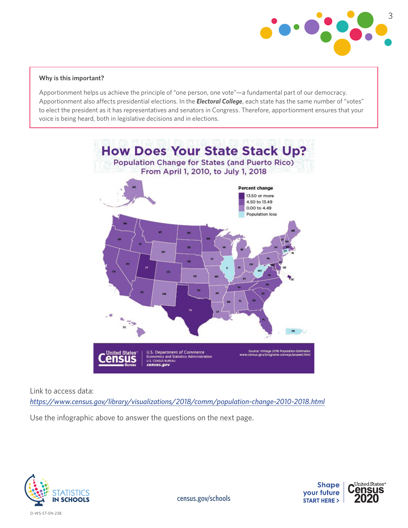

## **Why is this important?**

Apportionment helps us achieve the principle of "one person, one vote"—a fundamental part of our democracy. Apportionment also affects presidential elections. In the *Electoral College*, each state has the same number of "votes" to elect the president as it has representatives and senators in Congress. Therefore, apportionment ensures that your voice is being heard, both in legislative decisions and in elections.



Link to access data:

*https://www.census.gov/library/visualizations/2018/comm/population-change-2010-2018.html*

Use the infographic above to answer the questions on the next page.